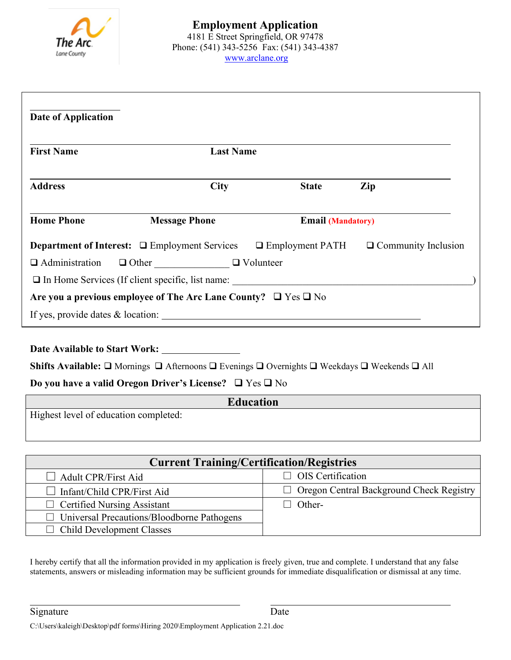

| <b>Date of Application</b> |                                                                          |                          |                            |
|----------------------------|--------------------------------------------------------------------------|--------------------------|----------------------------|
| <b>First Name</b>          | <b>Last Name</b>                                                         |                          |                            |
| <b>Address</b>             | <b>City</b>                                                              | <b>State</b>             | Zip                        |
| <b>Home Phone</b>          | <b>Message Phone</b>                                                     | <b>Email (Mandatory)</b> |                            |
|                            | <b>Department of Interest:</b> $\Box$ Employment Services                | $\Box$ Employment PATH   | $\Box$ Community Inclusion |
| $\Box$ Administration      | $\Box$ Other $\Box$ Volunteer                                            |                          |                            |
|                            |                                                                          |                          |                            |
|                            | Are you a previous employee of The Arc Lane County? $\Box$ Yes $\Box$ No |                          |                            |
|                            |                                                                          |                          |                            |

**Date Available to Start Work:**

Shifts Available: □ Mornings □ Afternoons □ Evenings □ Overnights □ Weekdays □ Weekends □ All

## **Do you have a valid Oregon Driver's License?**  $\Box$  Yes  $\Box$  No

| <b>Education</b>                      |
|---------------------------------------|
| Highest level of education completed: |
|                                       |

| <b>Current Training/Certification/Registries</b>  |                                                 |  |  |  |
|---------------------------------------------------|-------------------------------------------------|--|--|--|
| $\Box$ Adult CPR/First Aid                        | $\Box$ OIS Certification                        |  |  |  |
| $\Box$ Infant/Child CPR/First Aid                 | $\Box$ Oregon Central Background Check Registry |  |  |  |
| $\Box$ Certified Nursing Assistant                | Other-                                          |  |  |  |
| $\Box$ Universal Precautions/Bloodborne Pathogens |                                                 |  |  |  |
| $\Box$ Child Development Classes                  |                                                 |  |  |  |

I hereby certify that all the information provided in my application is freely given, true and complete. I understand that any false statements, answers or misleading information may be sufficient grounds for immediate disqualification or dismissal at any time.